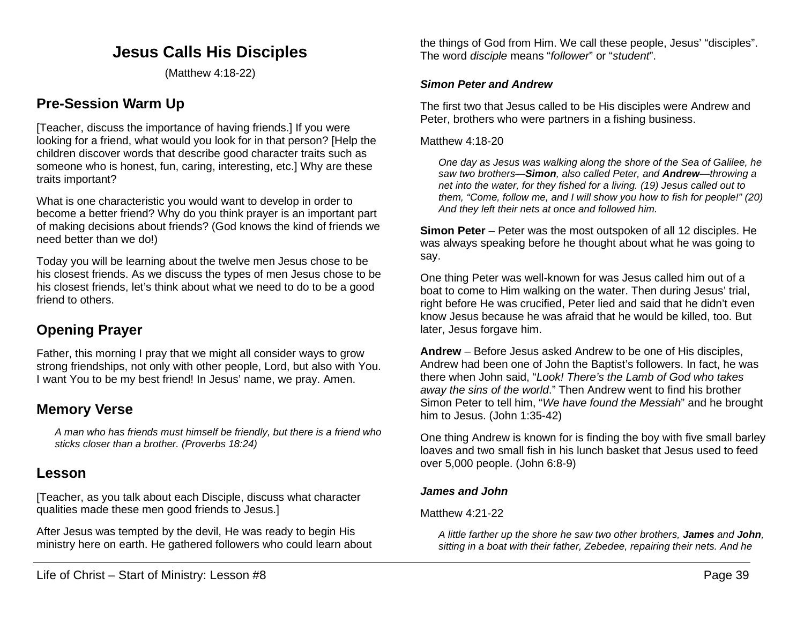# **Jesus Calls His Disciples**

(Matthew 4:18-22)

# **Pre-Session Warm Up**

[Teacher, discuss the importance of having friends.] If you were looking for a friend, what would you look for in that person? [Help the children discover words that describe good character traits such as someone who is honest, fun, caring, interesting, etc.] Why are these traits important?

What is one characteristic you would want to develop in order to become a better friend? Why do you think prayer is an important part of making decisions about friends? (God knows the kind of friends we need better than we do!)

Today you will be learning about the twelve men Jesus chose to be his closest friends. As we discuss the types of men Jesus chose to be his closest friends, let's think about what we need to do to be a good friend to others.

# **Opening Prayer**

Father, this morning I pray that we might all consider ways to grow strong friendships, not only with other people, Lord, but also with You. I want You to be my best friend! In Jesus' name, we pray. Amen.

# **Memory Verse**

*A man who has friends must himself be friendly, but there is a friend who sticks closer than a brother. (Proverbs 18:24)*

# **Lesson**

[Teacher, as you talk about each Disciple, discuss what character qualities made these men good friends to Jesus.]

After Jesus was tempted by the devil, He was ready to begin His ministry here on earth. He gathered followers who could learn about

the things of God from Him. We call these people, Jesus' "disciples". The word *disciple* means "*follower*" or "*student*".

#### *Simon Peter and Andrew*

The first two that Jesus called to be His disciples were Andrew and Peter, brothers who were partners in a fishing business.

#### Matthew 4:18-20

*One day as Jesus was walking along the shore of the Sea of Galilee, he saw two brothers—Simon, also called Peter, and Andrew—throwing a net into the water, for they fished for a living. (19) Jesus called out to them, "Come, follow me, and I will show you how to fish for people!" (20) And they left their nets at once and followed him.*

**Simon Peter** – Peter was the most outspoken of all 12 disciples. He was always speaking before he thought about what he was going to say.

One thing Peter was well-known for was Jesus called him out of a boat to come to Him walking on the water. Then during Jesus' trial, right before He was crucified, Peter lied and said that he didn't even know Jesus because he was afraid that he would be killed, too. But later, Jesus forgave him.

**Andrew** – Before Jesus asked Andrew to be one of His disciples, Andrew had been one of John the Baptist's followers. In fact, he was there when John said, "*Look! There's the Lamb of God who takes away the sins of the world*." Then Andrew went to find his brother Simon Peter to tell him, "*We have found the Messiah*" and he brought him to Jesus. (John 1:35-42)

One thing Andrew is known for is finding the boy with five small barley loaves and two small fish in his lunch basket that Jesus used to feed over 5,000 people. (John 6:8-9)

### *James and John*

### Matthew 4:21-22

*A little farther up the shore he saw two other brothers, James and John, sitting in a boat with their father, Zebedee, repairing their nets. And he*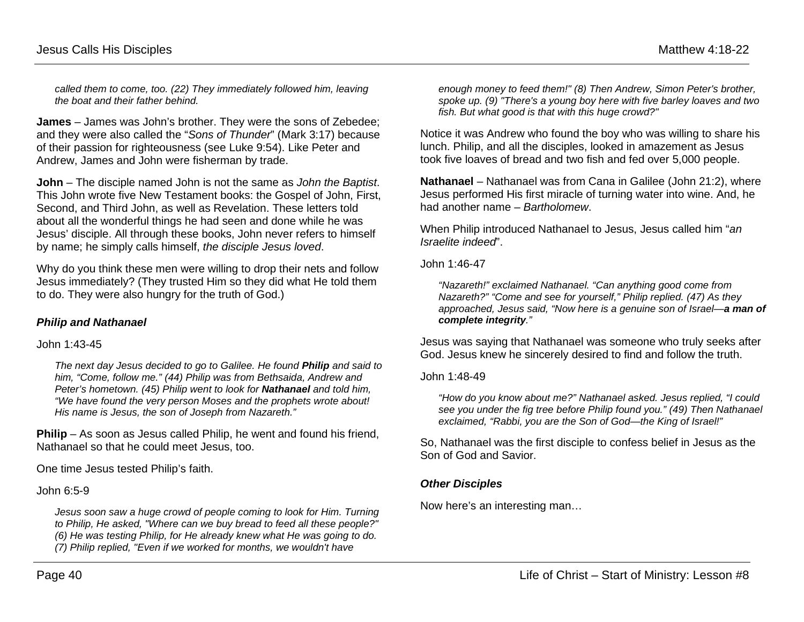*called them to come, too. (22) They immediately followed him, leaving the boat and their father behind.*

**James** – James was John's brother. They were the sons of Zebedee; and they were also called the "*Sons of Thunder*" (Mark 3:17) because of their passion for righteousness (see Luke 9:54). Like Peter and Andrew, James and John were fisherman by trade.

**John** – The disciple named John is not the same as *John the Baptist*. This John wrote five New Testament books: the Gospel of John, First, Second, and Third John, as well as Revelation. These letters told about all the wonderful things he had seen and done while he was Jesus' disciple. All through these books, John never refers to himself by name; he simply calls himself, *the disciple Jesus loved*.

Why do you think these men were willing to drop their nets and follow Jesus immediately? (They trusted Him so they did what He told them to do. They were also hungry for the truth of God.)

## *Philip and Nathanael*

### John 1:43-45

*The next day Jesus decided to go to Galilee. He found Philip and said to him, "Come, follow me." (44) Philip was from Bethsaida, Andrew and Peter's hometown. (45) Philip went to look for Nathanael and told him, "We have found the very person Moses and the prophets wrote about! His name is Jesus, the son of Joseph from Nazareth."*

**Philip** – As soon as Jesus called Philip, he went and found his friend, Nathanael so that he could meet Jesus, too.

One time Jesus tested Philip's faith.

John 6:5-9

*Jesus soon saw a huge crowd of people coming to look for Him. Turning to Philip, He asked, "Where can we buy bread to feed all these people?" (6) He was testing Philip, for He already knew what He was going to do. (7) Philip replied, "Even if we worked for months, we wouldn't have* 

*enough money to feed them!" (8) Then Andrew, Simon Peter's brother, spoke up. (9) "There's a young boy here with five barley loaves and two fish. But what good is that with this huge crowd?"*

Notice it was Andrew who found the boy who was willing to share his lunch. Philip, and all the disciples, looked in amazement as Jesus took five loaves of bread and two fish and fed over 5,000 people.

**Nathanael** – Nathanael was from Cana in Galilee (John 21:2), where Jesus performed His first miracle of turning water into wine. And, he had another name – *Bartholomew*.

When Philip introduced Nathanael to Jesus, Jesus called him "*an Israelite indeed*".

John 1:46-47

*"Nazareth!" exclaimed Nathanael. "Can anything good come from Nazareth?" "Come and see for yourself," Philip replied. (47) As they approached, Jesus said, "Now here is a genuine son of Israel—a man of complete integrity."*

Jesus was saying that Nathanael was someone who truly seeks after God. Jesus knew he sincerely desired to find and follow the truth.

John 1:48-49

*"How do you know about me?" Nathanael asked. Jesus replied, "I could see you under the fig tree before Philip found you." (49) Then Nathanael exclaimed, "Rabbi, you are the Son of God—the King of Israel!"*

So, Nathanael was the first disciple to confess belief in Jesus as the Son of God and Savior.

### *Other Disciples*

Now here's an interesting man…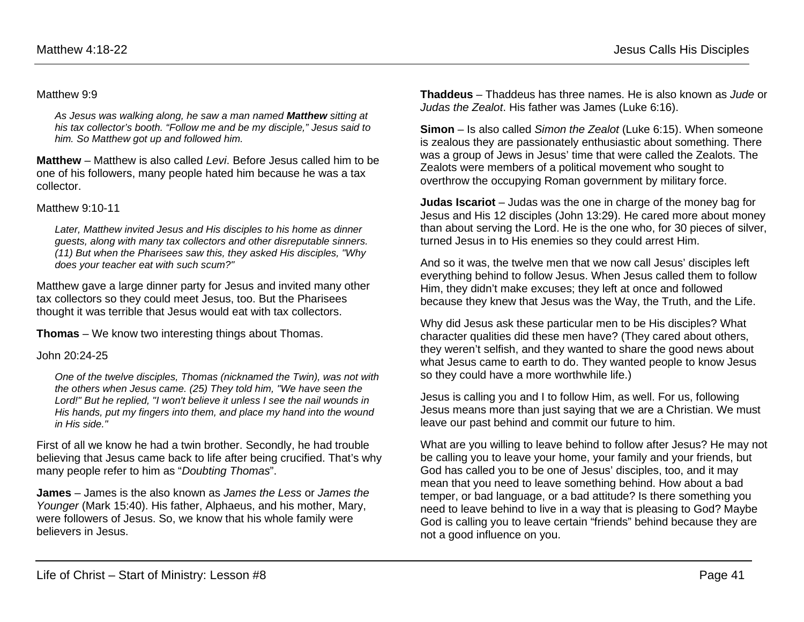#### Matthew 9:9

*As Jesus was walking along, he saw a man named Matthew sitting at his tax collector's booth. "Follow me and be my disciple," Jesus said to him. So Matthew got up and followed him.*

**Matthew** – Matthew is also called *Levi*. Before Jesus called him to be one of his followers, many people hated him because he was a tax collector.

#### Matthew 9:10-11

*Later, Matthew invited Jesus and His disciples to his home as dinner guests, along with many tax collectors and other disreputable sinners. (11) But when the Pharisees saw this, they asked His disciples, "Why does your teacher eat with such scum?"*

Matthew gave a large dinner party for Jesus and invited many other tax collectors so they could meet Jesus, too. But the Pharisees thought it was terrible that Jesus would eat with tax collectors.

**Thomas** – We know two interesting things about Thomas.

#### John 20:24-25

*One of the twelve disciples, Thomas (nicknamed the Twin), was not with the others when Jesus came. (25) They told him, "We have seen the Lord!" But he replied, "I won't believe it unless I see the nail wounds in His hands, put my fingers into them, and place my hand into the wound in His side."*

First of all we know he had a twin brother. Secondly, he had trouble believing that Jesus came back to life after being crucified. That's why many people refer to him as "*Doubting Thomas*".

**James** – James is the also known as *James the Less* or *James the Younger* (Mark 15:40). His father, Alphaeus, and his mother, Mary, were followers of Jesus. So, we know that his whole family were believers in Jesus.

**Thaddeus** – Thaddeus has three names. He is also known as *Jude* or *Judas the Zealot*. His father was James (Luke 6:16).

**Simon** – Is also called *Simon the Zealot* (Luke 6:15). When someone is zealous they are passionately enthusiastic about something. There was a group of Jews in Jesus' time that were called the Zealots. The Zealots were members of a political movement who sought to overthrow the occupying Roman government by military force.

**Judas Iscariot** – Judas was the one in charge of the money bag for Jesus and His 12 disciples (John 13:29). He cared more about money than about serving the Lord. He is the one who, for 30 pieces of silver, turned Jesus in to His enemies so they could arrest Him.

And so it was, the twelve men that we now call Jesus' disciples left everything behind to follow Jesus. When Jesus called them to follow Him, they didn't make excuses; they left at once and followed because they knew that Jesus was the Way, the Truth, and the Life.

Why did Jesus ask these particular men to be His disciples? What character qualities did these men have? (They cared about others, they weren't selfish, and they wanted to share the good news about what Jesus came to earth to do. They wanted people to know Jesus so they could have a more worthwhile life.)

Jesus is calling you and I to follow Him, as well. For us, following Jesus means more than just saying that we are a Christian. We must leave our past behind and commit our future to him.

What are you willing to leave behind to follow after Jesus? He may not be calling you to leave your home, your family and your friends, but God has called you to be one of Jesus' disciples, too, and it may mean that you need to leave something behind. How about a bad temper, or bad language, or a bad attitude? Is there something you need to leave behind to live in a way that is pleasing to God? Maybe God is calling you to leave certain "friends" behind because they are not a good influence on you.